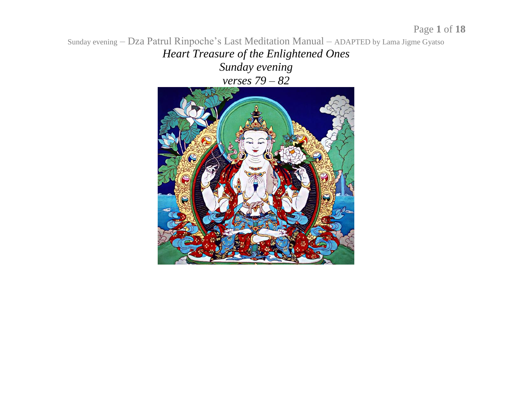Sunday evening – Dza Patrul Rinpoche's Last Meditation Manual – ADAPTED by Lama Jigme Gyatso *Heart Treasure of the Enlightened Ones Sunday evening verses 79 – 82*

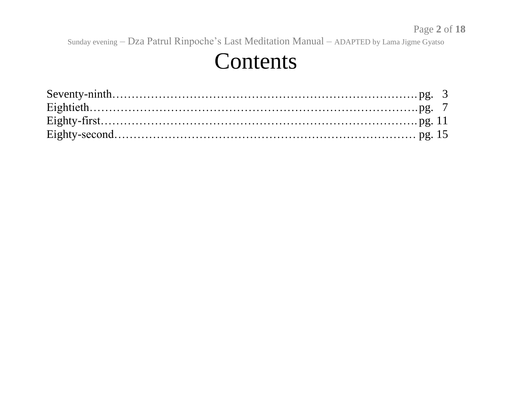#### Contents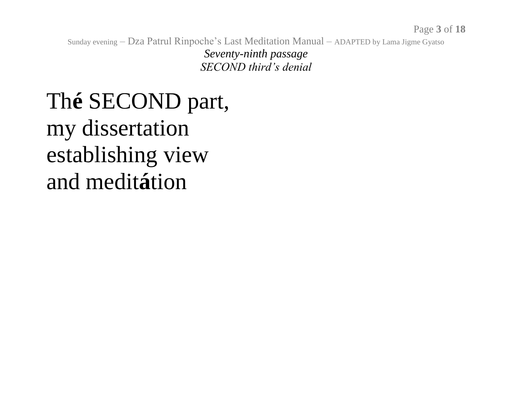Seventy-ninth passage SECOND third's denial

#### The SECOND part, my dissertation establishing view and meditation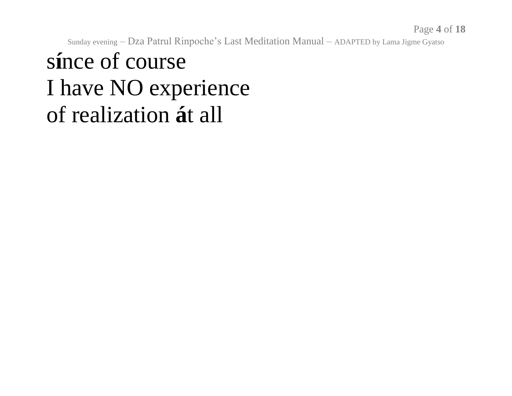#### since of course I have NO experience of realization at all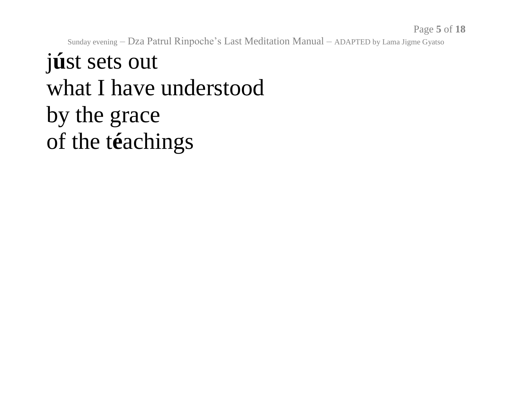### j**ú**st sets out what I have understood by the grace of the t**é**achings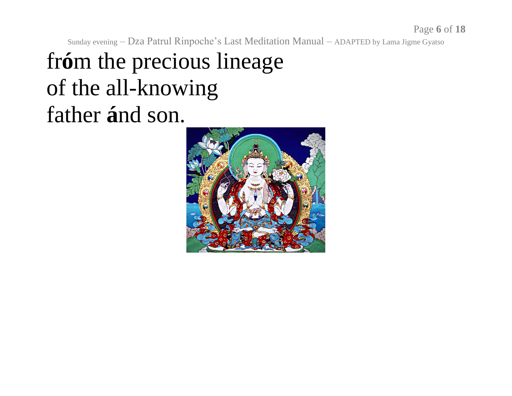### fr**ó**m the precious lineage of the all-knowing father **á**nd son.

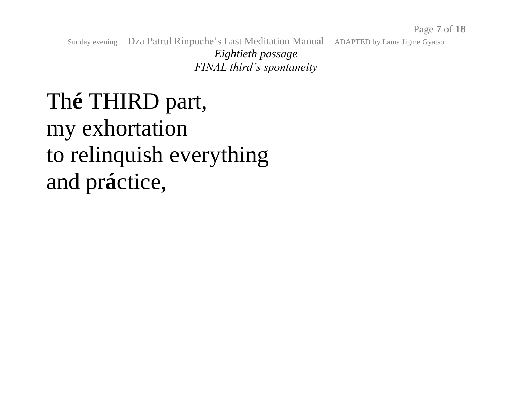Eightieth passage FINAL third's spontaneity

### The THIRD part, my exhortation to relinquish everything and práctice,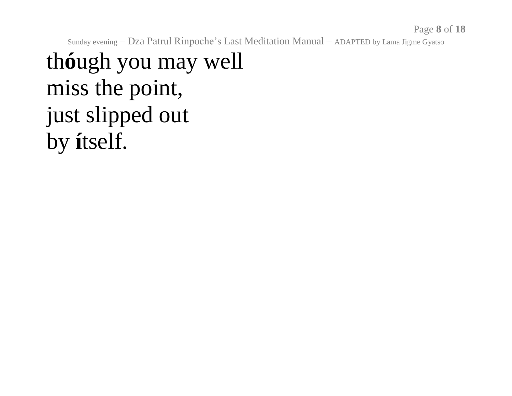### th**ó**ugh you may well miss the point, just slipped out by **í**tself.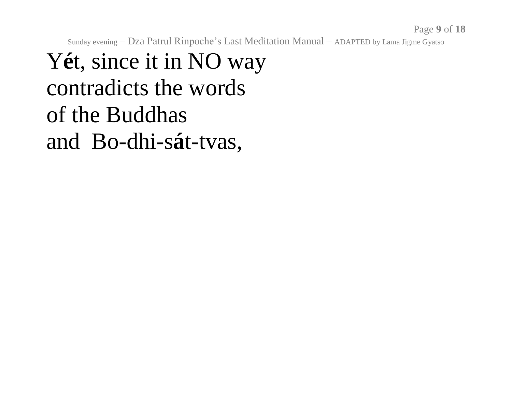### Yét, since it in NO way contradicts the words of the Buddhas and Bo-dhi-sát-tvas,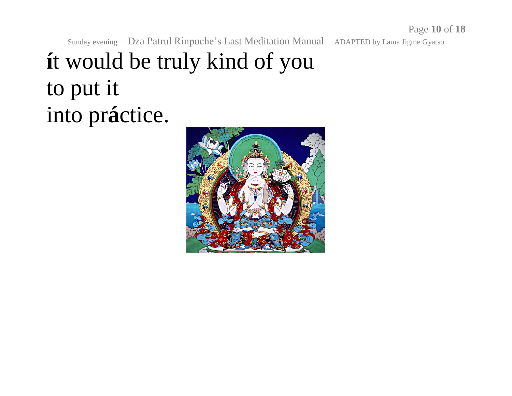### it would be truly kind of you to put it into práctice.

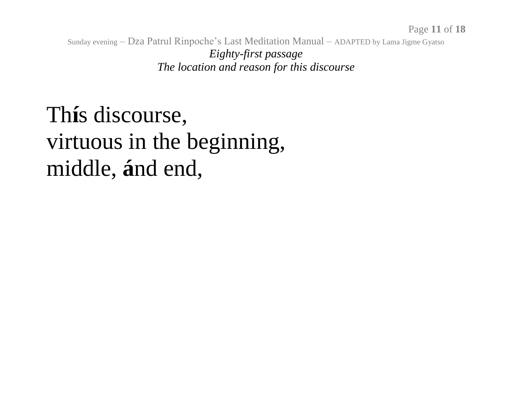Sunday evening – Dza Patrul Rinpoche's Last Meditation Manual – ADAPTED by Lama Jigme Gyatso *Eighty-first passage The location and reason for this discourse*

#### Th**í**s discourse, virtuous in the beginning, middle, **á**nd end,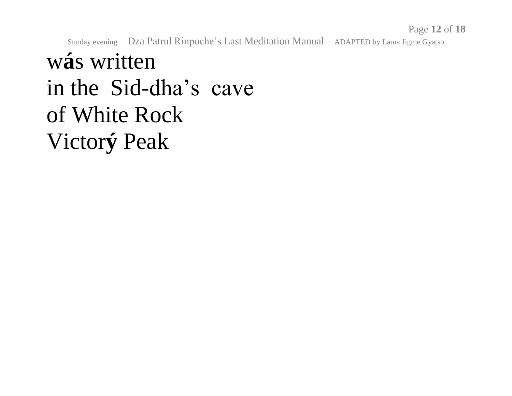Page 12 of 18

Sunday evening - Dza Patrul Rinpoche's Last Meditation Manual - ADAPTED by Lama Jigme Gyatso

#### wás written in the Sid-dha's cave of White Rock Victorý Peak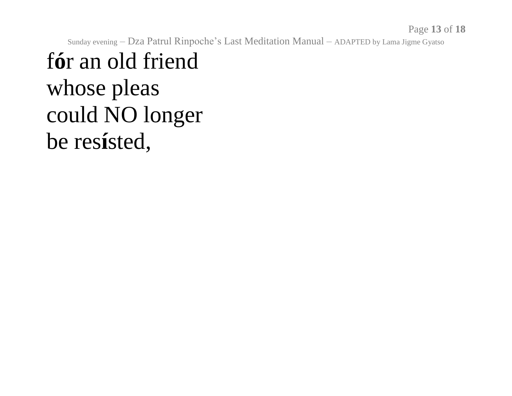### f**ó**r an old friend whose pleas could NO longer be res**í**sted,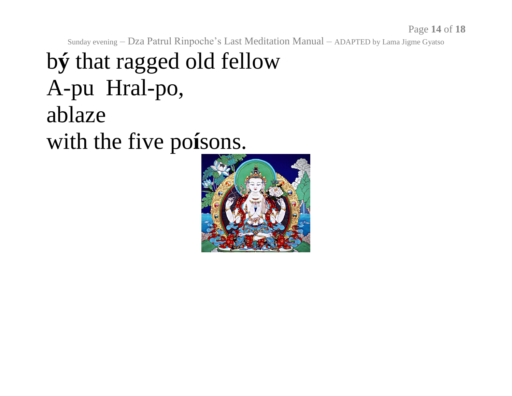### b**ý** that ragged old fellow A-pu Hral-po, ablaze with the five po**í**sons.

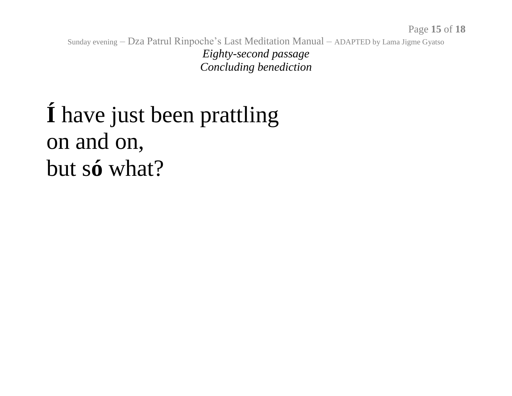Sunday evening – Dza Patrul Rinpoche's Last Meditation Manual – ADAPTED by Lama Jigme Gyatso *Eighty-second passage Concluding benediction*

# **Í** have just been prattling on and on, but s**ó** what?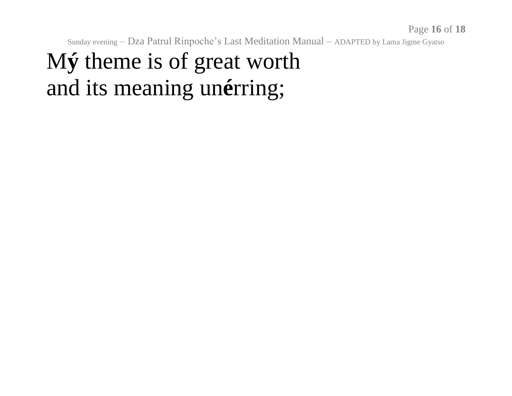## My theme is of great worth and its meaning unérring;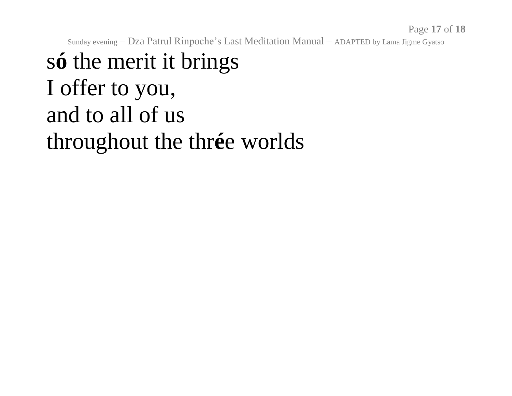## só the merit it brings I offer to you, and to all of us throughout the thrée worlds